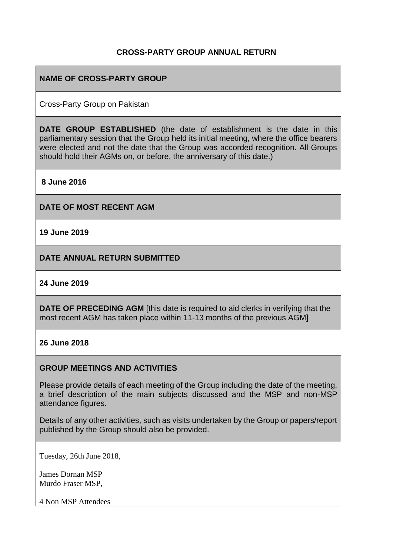# **CROSS-PARTY GROUP ANNUAL RETURN**

# **NAME OF CROSS-PARTY GROUP**

Cross-Party Group on Pakistan

**DATE GROUP ESTABLISHED** (the date of establishment is the date in this parliamentary session that the Group held its initial meeting, where the office bearers were elected and not the date that the Group was accorded recognition. All Groups should hold their AGMs on, or before, the anniversary of this date.)

**8 June 2016**

**DATE OF MOST RECENT AGM**

**19 June 2019**

**DATE ANNUAL RETURN SUBMITTED**

#### **24 June 2019**

**DATE OF PRECEDING AGM** [this date is required to aid clerks in verifying that the most recent AGM has taken place within 11-13 months of the previous AGM]

#### **26 June 2018**

### **GROUP MEETINGS AND ACTIVITIES**

Please provide details of each meeting of the Group including the date of the meeting, a brief description of the main subjects discussed and the MSP and non-MSP attendance figures.

Details of any other activities, such as visits undertaken by the Group or papers/report published by the Group should also be provided.

Tuesday, 26th June 2018,

James Dornan MSP Murdo Fraser MSP,

4 Non MSP Attendees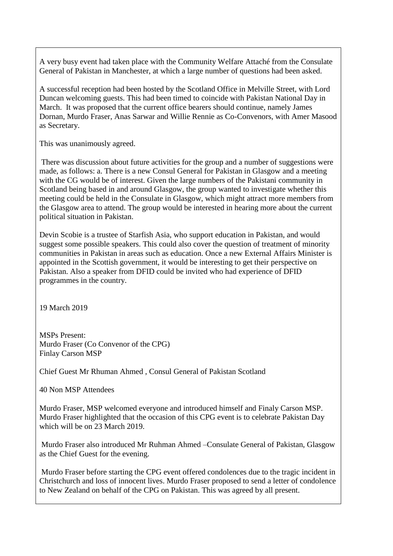A very busy event had taken place with the Community Welfare Attaché from the Consulate General of Pakistan in Manchester, at which a large number of questions had been asked.

A successful reception had been hosted by the Scotland Office in Melville Street, with Lord Duncan welcoming guests. This had been timed to coincide with Pakistan National Day in March. It was proposed that the current office bearers should continue, namely James Dornan, Murdo Fraser, Anas Sarwar and Willie Rennie as Co-Convenors, with Amer Masood as Secretary.

This was unanimously agreed.

There was discussion about future activities for the group and a number of suggestions were made, as follows: a. There is a new Consul General for Pakistan in Glasgow and a meeting with the CG would be of interest. Given the large numbers of the Pakistani community in Scotland being based in and around Glasgow, the group wanted to investigate whether this meeting could be held in the Consulate in Glasgow, which might attract more members from the Glasgow area to attend. The group would be interested in hearing more about the current political situation in Pakistan.

Devin Scobie is a trustee of Starfish Asia, who support education in Pakistan, and would suggest some possible speakers. This could also cover the question of treatment of minority communities in Pakistan in areas such as education. Once a new External Affairs Minister is appointed in the Scottish government, it would be interesting to get their perspective on Pakistan. Also a speaker from DFID could be invited who had experience of DFID programmes in the country.

19 March 2019

MSPs Present: Murdo Fraser (Co Convenor of the CPG) Finlay Carson MSP

Chief Guest Mr Rhuman Ahmed , Consul General of Pakistan Scotland

40 Non MSP Attendees

Murdo Fraser, MSP welcomed everyone and introduced himself and Finaly Carson MSP. Murdo Fraser highlighted that the occasion of this CPG event is to celebrate Pakistan Day which will be on 23 March 2019.

Murdo Fraser also introduced Mr Ruhman Ahmed –Consulate General of Pakistan, Glasgow as the Chief Guest for the evening.

Murdo Fraser before starting the CPG event offered condolences due to the tragic incident in Christchurch and loss of innocent lives. Murdo Fraser proposed to send a letter of condolence to New Zealand on behalf of the CPG on Pakistan. This was agreed by all present.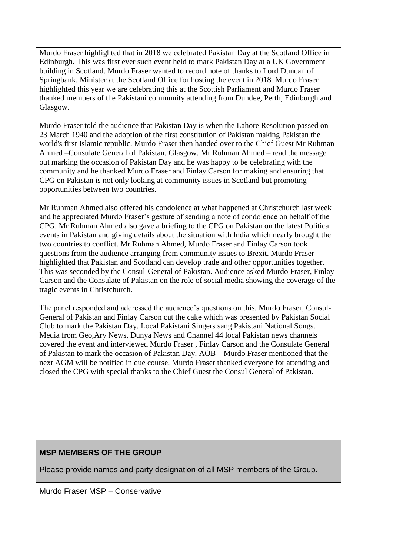Murdo Fraser highlighted that in 2018 we celebrated Pakistan Day at the Scotland Office in Edinburgh. This was first ever such event held to mark Pakistan Day at a UK Government building in Scotland. Murdo Fraser wanted to record note of thanks to Lord Duncan of Springbank, Minister at the Scotland Office for hosting the event in 2018. Murdo Fraser highlighted this year we are celebrating this at the Scottish Parliament and Murdo Fraser thanked members of the Pakistani community attending from Dundee, Perth, Edinburgh and Glasgow.

Murdo Fraser told the audience that Pakistan Day is when the Lahore Resolution passed on 23 March 1940 and the adoption of the first constitution of Pakistan making Pakistan the world's first Islamic republic. Murdo Fraser then handed over to the Chief Guest Mr Ruhman Ahmed –Consulate General of Pakistan, Glasgow. Mr Ruhman Ahmed – read the message out marking the occasion of Pakistan Day and he was happy to be celebrating with the community and he thanked Murdo Fraser and Finlay Carson for making and ensuring that CPG on Pakistan is not only looking at community issues in Scotland but promoting opportunities between two countries.

Mr Ruhman Ahmed also offered his condolence at what happened at Christchurch last week and he appreciated Murdo Fraser's gesture of sending a note of condolence on behalf of the CPG. Mr Ruhman Ahmed also gave a briefing to the CPG on Pakistan on the latest Political events in Pakistan and giving details about the situation with India which nearly brought the two countries to conflict. Mr Ruhman Ahmed, Murdo Fraser and Finlay Carson took questions from the audience arranging from community issues to Brexit. Murdo Fraser highlighted that Pakistan and Scotland can develop trade and other opportunities together. This was seconded by the Consul-General of Pakistan. Audience asked Murdo Fraser, Finlay Carson and the Consulate of Pakistan on the role of social media showing the coverage of the tragic events in Christchurch.

The panel responded and addressed the audience's questions on this. Murdo Fraser, Consul-General of Pakistan and Finlay Carson cut the cake which was presented by Pakistan Social Club to mark the Pakistan Day. Local Pakistani Singers sang Pakistani National Songs. Media from Geo,Ary News, Dunya News and Channel 44 local Pakistan news channels covered the event and interviewed Murdo Fraser , Finlay Carson and the Consulate General of Pakistan to mark the occasion of Pakistan Day. AOB – Murdo Fraser mentioned that the next AGM will be notified in due course. Murdo Fraser thanked everyone for attending and closed the CPG with special thanks to the Chief Guest the Consul General of Pakistan.

### **MSP MEMBERS OF THE GROUP**

Please provide names and party designation of all MSP members of the Group.

Murdo Fraser MSP – Conservative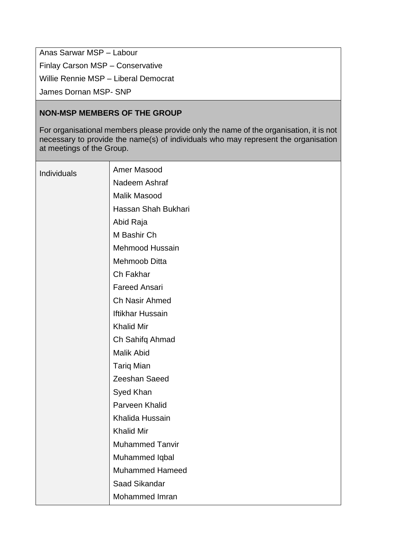Anas Sarwar MSP – Labour Finlay Carson MSP – Conservative Willie Rennie MSP – Liberal Democrat James Dornan MSP- SNP

# **NON-MSP MEMBERS OF THE GROUP**

For organisational members please provide only the name of the organisation, it is not necessary to provide the name(s) of individuals who may represent the organisation at meetings of the Group.

| Individuals | Amer Masood            |
|-------------|------------------------|
|             | Nadeem Ashraf          |
|             | <b>Malik Masood</b>    |
|             | Hassan Shah Bukhari    |
|             | Abid Raja              |
|             | M Bashir Ch            |
|             | <b>Mehmood Hussain</b> |
|             | Mehmoob Ditta          |
|             | Ch Fakhar              |
|             | <b>Fareed Ansari</b>   |
|             | Ch Nasir Ahmed         |
|             | Iftikhar Hussain       |
|             | <b>Khalid Mir</b>      |
|             | Ch Sahifq Ahmad        |
|             | <b>Malik Abid</b>      |
|             | <b>Tariq Mian</b>      |
|             | Zeeshan Saeed          |
|             | Syed Khan              |
|             | Parveen Khalid         |
|             | Khalida Hussain        |
|             | <b>Khalid Mir</b>      |
|             | <b>Muhammed Tanvir</b> |
|             | Muhammed Iqbal         |
|             | <b>Muhammed Hameed</b> |
|             | Saad Sikandar          |
|             | Mohammed Imran         |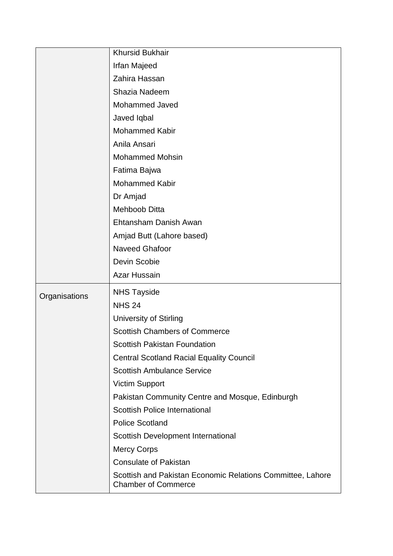|               | <b>Khursid Bukhair</b>                                                                   |
|---------------|------------------------------------------------------------------------------------------|
|               | Irfan Majeed                                                                             |
|               | Zahira Hassan                                                                            |
|               | Shazia Nadeem                                                                            |
|               | Mohammed Javed                                                                           |
|               | Javed Iqbal                                                                              |
|               | <b>Mohammed Kabir</b>                                                                    |
|               | Anila Ansari                                                                             |
|               | <b>Mohammed Mohsin</b>                                                                   |
|               | Fatima Bajwa                                                                             |
|               | Mohammed Kabir                                                                           |
|               | Dr Amjad                                                                                 |
|               | <b>Mehboob Ditta</b>                                                                     |
|               | Ehtansham Danish Awan                                                                    |
|               | Amjad Butt (Lahore based)                                                                |
|               | <b>Naveed Ghafoor</b>                                                                    |
|               | Devin Scobie                                                                             |
|               | <b>Azar Hussain</b>                                                                      |
| Organisations | <b>NHS Tayside</b>                                                                       |
|               | <b>NHS 24</b>                                                                            |
|               | <b>University of Stirling</b>                                                            |
|               | <b>Scottish Chambers of Commerce</b>                                                     |
|               | <b>Scottish Pakistan Foundation</b>                                                      |
|               | <b>Central Scotland Racial Equality Council</b>                                          |
|               | <b>Scottish Ambulance Service</b>                                                        |
|               | <b>Victim Support</b>                                                                    |
|               | Pakistan Community Centre and Mosque, Edinburgh                                          |
|               | <b>Scottish Police International</b>                                                     |
|               | <b>Police Scotland</b>                                                                   |
|               | Scottish Development International                                                       |
|               | <b>Mercy Corps</b>                                                                       |
|               | <b>Consulate of Pakistan</b>                                                             |
|               | Scottish and Pakistan Economic Relations Committee, Lahore<br><b>Chamber of Commerce</b> |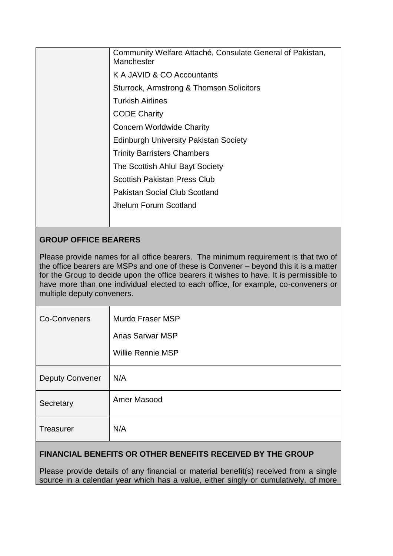| Community Welfare Attaché, Consulate General of Pakistan,<br>Manchester |
|-------------------------------------------------------------------------|
| K A JAVID & CO Accountants                                              |
| Sturrock, Armstrong & Thomson Solicitors                                |
| <b>Turkish Airlines</b>                                                 |
| <b>CODE Charity</b>                                                     |
| <b>Concern Worldwide Charity</b>                                        |
| <b>Edinburgh University Pakistan Society</b>                            |
| <b>Trinity Barristers Chambers</b>                                      |
| The Scottish Ahlul Bayt Society                                         |
| <b>Scottish Pakistan Press Club</b>                                     |
| <b>Pakistan Social Club Scotland</b>                                    |
| Jhelum Forum Scotland                                                   |
|                                                                         |
|                                                                         |

# **GROUP OFFICE BEARERS**

Please provide names for all office bearers. The minimum requirement is that two of the office bearers are MSPs and one of these is Convener – beyond this it is a matter for the Group to decide upon the office bearers it wishes to have. It is permissible to have more than one individual elected to each office, for example, co-conveners or multiple deputy conveners.

| <b>Co-Conveners</b>    | Murdo Fraser MSP         |
|------------------------|--------------------------|
|                        | <b>Anas Sarwar MSP</b>   |
|                        | <b>Willie Rennie MSP</b> |
| <b>Deputy Convener</b> | N/A                      |
| Secretary              | Amer Masood              |
| Treasurer              | N/A                      |
|                        |                          |

# **FINANCIAL BENEFITS OR OTHER BENEFITS RECEIVED BY THE GROUP**

Please provide details of any financial or material benefit(s) received from a single source in a calendar year which has a value, either singly or cumulatively, of more